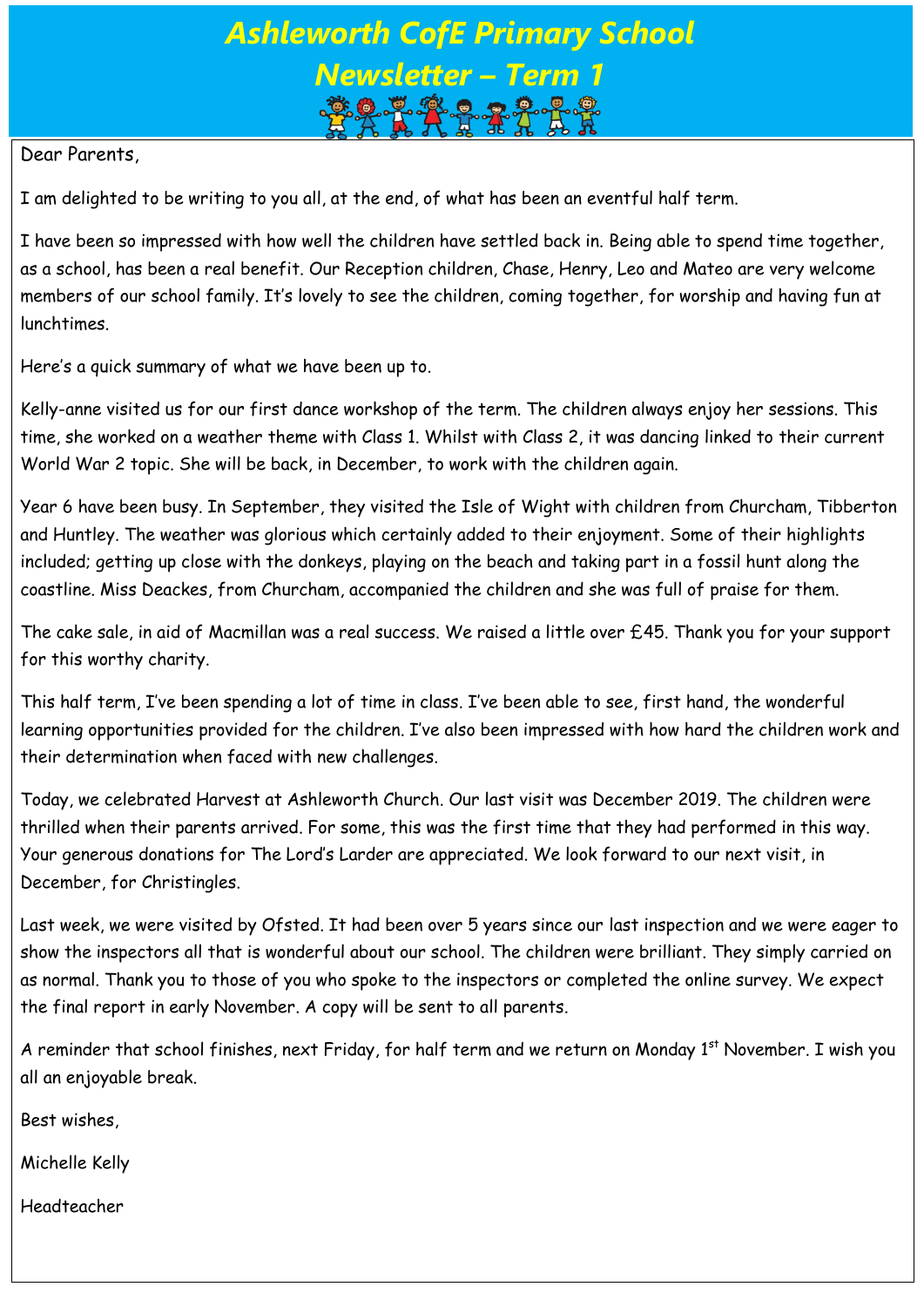## *Ashleworth CofE Primary School Newsletter – Term 1*

Dear Parents,

I am delighted to be writing to you all, at the end, of what has been an eventful half term.

I have been so impressed with how well the children have settled back in. Being able to spend time together, as a school, has been a real benefit. Our Reception children, Chase, Henry, Leo and Mateo are very welcome members of our school family. It's lovely to see the children, coming together, for worship and having fun at lunchtimes.

Here's a quick summary of what we have been up to.

Kelly-anne visited us for our first dance workshop of the term. The children always enjoy her sessions. This time, she worked on a weather theme with Class 1. Whilst with Class 2, it was dancing linked to their current World War 2 topic. She will be back, in December, to work with the children again.

Year 6 have been busy. In September, they visited the Isle of Wight with children from Churcham, Tibberton and Huntley. The weather was glorious which certainly added to their enjoyment. Some of their highlights included; getting up close with the donkeys, playing on the beach and taking part in a fossil hunt along the coastline. Miss Deackes, from Churcham, accompanied the children and she was full of praise for them.

The cake sale, in aid of Macmillan was a real success. We raised a little over £45. Thank you for your support for this worthy charity.

This half term, I've been spending a lot of time in class. I've been able to see, first hand, the wonderful learning opportunities provided for the children. I've also been impressed with how hard the children work and their determination when faced with new challenges.

Today, we celebrated Harvest at Ashleworth Church. Our last visit was December 2019. The children were thrilled when their parents arrived. For some, this was the first time that they had performed in this way. Your generous donations for The Lord's Larder are appreciated. We look forward to our next visit, in December, for Christingles.

Last week, we were visited by Ofsted. It had been over 5 years since our last inspection and we were eager to show the inspectors all that is wonderful about our school. The children were brilliant. They simply carried on as normal. Thank you to those of you who spoke to the inspectors or completed the online survey. We expect the final report in early November. A copy will be sent to all parents.

A reminder that school finishes, next Friday, for half term and we return on Monday 1<sup>st</sup> November. I wish you all an enjoyable break.

Best wishes,

Michelle Kelly

Headteacher